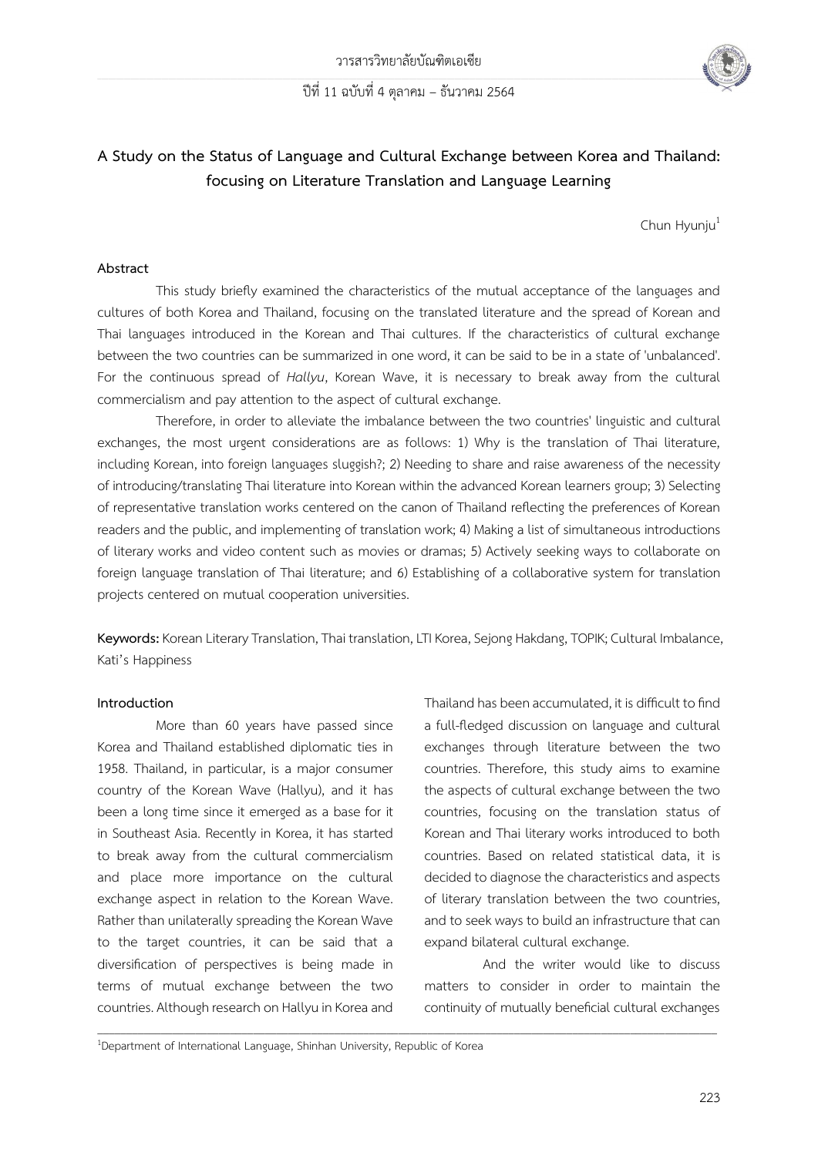

# **A Study on the Status of Language and Cultural Exchange between Korea and Thailand: focusing on Literature Translation and Language Learning**

 $Chun Hvuniu<sup>1</sup>$ 

#### **Abstract**

This study briefly examined the characteristics of the mutual acceptance of the languages and cultures of both Korea and Thailand, focusing on the translated literature and the spread of Korean and Thai languages introduced in the Korean and Thai cultures. If the characteristics of cultural exchange between the two countries can be summarized in one word, it can be said to be in a state of 'unbalanced'. For the continuous spread of *Hallyu*, Korean Wave, it is necessary to break away from the cultural commercialism and pay attention to the aspect of cultural exchange.

Therefore, in order to alleviate the imbalance between the two countries' linguistic and cultural exchanges, the most urgent considerations are as follows: 1) Why is the translation of Thai literature, including Korean, into foreign languages sluggish?; 2) Needing to share and raise awareness of the necessity of introducing/translating Thai literature into Korean within the advanced Korean learners group; 3) Selecting of representative translation works centered on the canon of Thailand reflecting the preferences of Korean readers and the public, and implementing of translation work; 4) Making a list of simultaneous introductions of literary works and video content such as movies or dramas; 5) Actively seeking ways to collaborate on foreign language translation of Thai literature; and 6) Establishing of a collaborative system for translation projects centered on mutual cooperation universities.

**Keywords:**Korean Literary Translation, Thai translation, LTI Korea, Sejong Hakdang, TOPIK; Cultural Imbalance, Kati's Happiness

\_\_\_\_\_\_\_\_\_\_\_\_\_\_\_\_\_\_\_\_\_\_\_\_\_\_\_\_\_\_\_\_\_\_\_\_\_\_\_\_\_\_\_\_\_\_\_\_\_\_\_\_\_\_\_\_\_\_\_\_\_\_\_\_\_\_\_\_\_\_\_\_\_\_\_\_\_\_\_\_\_\_\_\_\_\_\_\_\_\_\_\_\_\_\_\_\_\_\_\_\_\_\_\_\_\_\_

#### **Introduction**

More than 60 years have passed since Korea and Thailand established diplomatic ties in 1958. Thailand, in particular, is a major consumer country of the Korean Wave (Hallyu), and it has been a long time since it emerged as a base for it in Southeast Asia. Recently in Korea, it has started to break away from the cultural commercialism and place more importance on the cultural exchange aspect in relation to the Korean Wave. Rather than unilaterally spreading the Korean Wave to the target countries, it can be said that a diversification of perspectives is being made in terms of mutual exchange between the two countries. Although research on Hallyu in Korea and Thailand has been accumulated, it is difficult to find a full-fledged discussion on language and cultural exchanges through literature between the two countries. Therefore, this study aims to examine the aspects of cultural exchange between the two countries, focusing on the translation status of Korean and Thai literary works introduced to both countries. Based on related statistical data, it is decided to diagnose the characteristics and aspects of literary translation between the two countries, and to seek ways to build an infrastructure that can expand bilateral cultural exchange.

And the writer would like to discuss matters to consider in order to maintain the continuity of mutually beneficial cultural exchanges

<sup>1</sup>Department of International Language, Shinhan University, Republic of Korea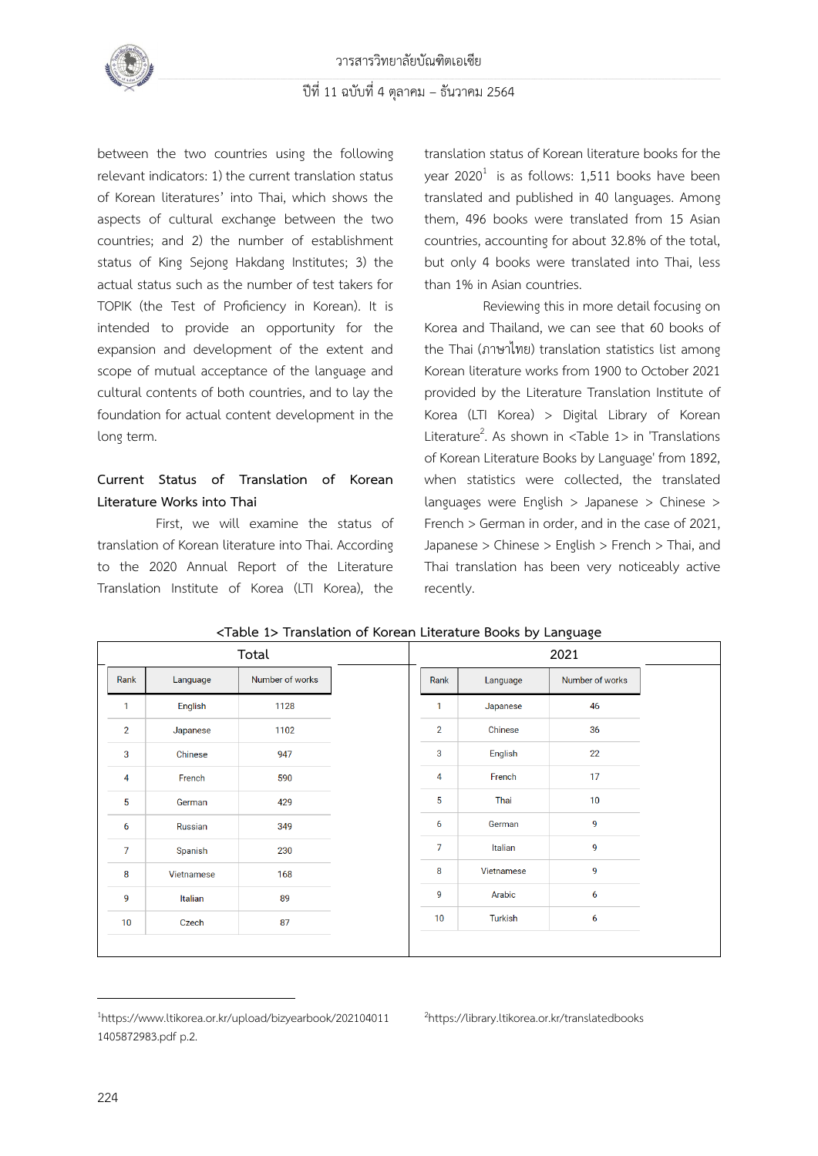

between the two countries using the following relevant indicators: 1) the current translation status of Korean literatures' into Thai, which shows the aspects of cultural exchange between the two countries; and 2) the number of establishment status of King Sejong Hakdang Institutes; 3) the actual status such as the number of test takers for TOPIK (the Test of Proficiency in Korean). It is intended to provide an opportunity for the expansion and development of the extent and scope of mutual acceptance of the language and cultural contents of both countries, and to lay the foundation for actual content development in the long term.

## **Current Status of Translation of Korean Literature Works into Thai**

First, we will examine the status of translation of Korean literature into Thai. According to the 2020 Annual Report of the Literature Translation Institute of Korea (LTI Korea), the translation status of Korean literature books for the year 2020 $^1$  is as follows: 1,511 books have been translated and published in 40 languages. Among them, 496 books were translated from 15 Asian countries, accounting for about 32.8% of the total, but only 4 books were translated into Thai, less than 1% in Asian countries.

Reviewing this in more detail focusing on Korea and Thailand, we can see that 60 books of the Thai (ภาษาไทย) translation statistics list among Korean literature works from 1900 to October 2021 provided by the Literature Translation Institute of Korea (LTI Korea) > Digital Library of Korean Literature<sup>2</sup>. As shown in <Table  $1$ > in 'Translations of Korean Literature Books by Language' from 1892, when statistics were collected, the translated languages were English > Japanese > Chinese > French > German in order, and in the case of 2021, Japanese > Chinese > English > French > Thai, and Thai translation has been very noticeably active recently.

| Total          |            |                 |                | 2021           |            |                 |  |
|----------------|------------|-----------------|----------------|----------------|------------|-----------------|--|
| Rank           | Language   | Number of works |                | Rank           | Language   | Number of works |  |
| 1              | English    | 1128            | $\mathbf{1}$   |                | Japanese   | 46              |  |
| $\overline{2}$ | Japanese   | 1102            |                | $\overline{2}$ | Chinese    | 36              |  |
| 3              | Chinese    | 947             |                | 3              | English    | 22              |  |
| 4              | French     | 590             |                | 4              | French     | 17              |  |
| 5              | German     | 429             |                | 5              | Thai       | 10              |  |
| 6              | Russian    | 349             |                | 6              | German     | 9               |  |
| $\overline{7}$ | Spanish    | 230             | $\overline{7}$ |                | Italian    | 9               |  |
| 8              | Vietnamese | 168             | 8              |                | Vietnamese | 9               |  |
| 9              | Italian    | 89              |                | 9              | Arabic     | 6               |  |
| 10             | Czech      | 87              | 10             |                | Turkish    | 6               |  |

#### **<Table 1> Translation of Korean Literature Books by Language**

#### 2https://library.ltikorea.or.kr/translatedbooks

<sup>1</sup>[https://www.ltikorea.or.kr/upload/bizyearbook/202104011](https://www.ltikorea.or.kr/upload/bizyearbook/2021040111405872983.pdf) [1405872983.pdf](https://www.ltikorea.or.kr/upload/bizyearbook/2021040111405872983.pdf) p.2.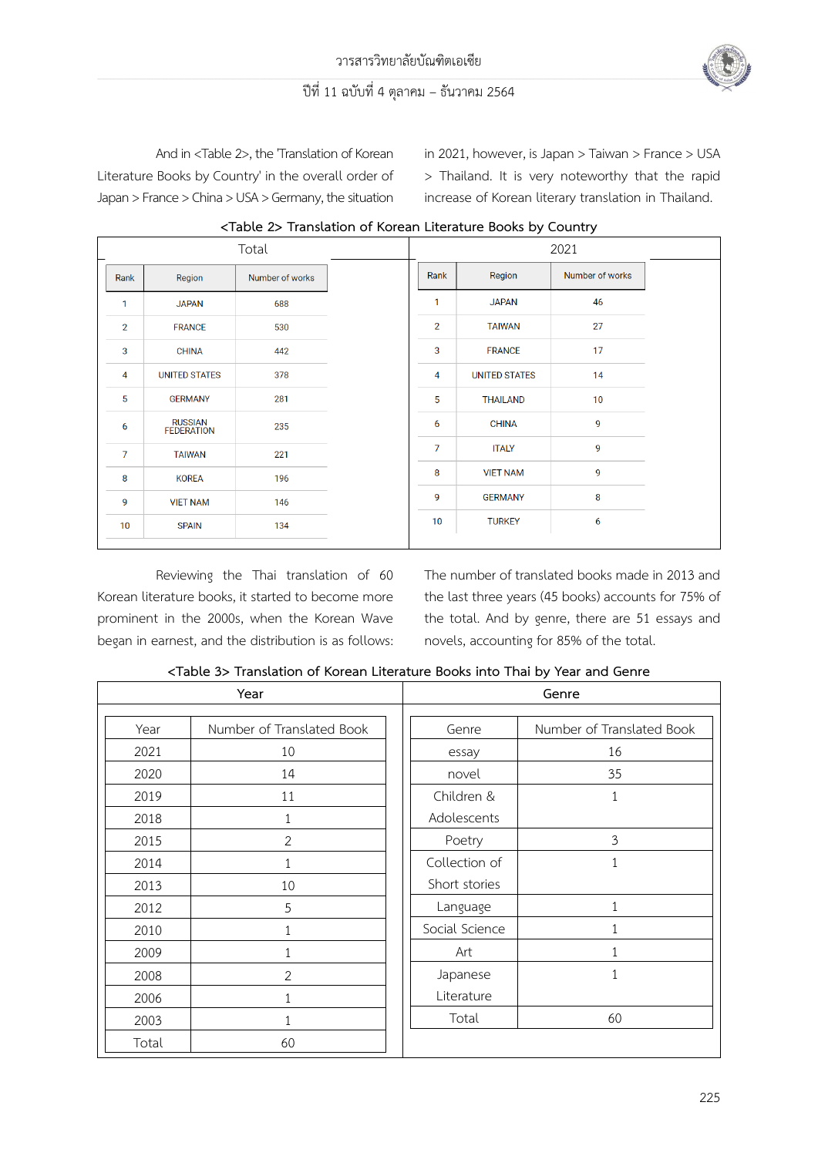

And in <Table 2>, the 'Translation of Korean Literature Books by Country' in the overall order of Japan > France > China > USA > Germany, the situation in 2021, however, is Japan > Taiwan > France > USA > Thailand. It is very noteworthy that the rapid increase of Korean literary translation in Thailand.

|                | $\frac{1}{2}$ and $\frac{1}{2}$ and $\frac{1}{2}$ and $\frac{1}{2}$ and $\frac{1}{2}$ and $\frac{1}{2}$ and $\frac{1}{2}$ and $\frac{1}{2}$ and $\frac{1}{2}$<br>Total |                 |  | 2021           |                      |                 |  |
|----------------|------------------------------------------------------------------------------------------------------------------------------------------------------------------------|-----------------|--|----------------|----------------------|-----------------|--|
| Rank           | Region                                                                                                                                                                 | Number of works |  | Rank           | Region               | Number of works |  |
| 1              | <b>JAPAN</b>                                                                                                                                                           | 688             |  | $\mathbf{1}$   | <b>JAPAN</b>         | 46              |  |
| $\overline{2}$ | <b>FRANCE</b>                                                                                                                                                          | 530             |  | $\overline{2}$ | <b>TAIWAN</b>        | 27              |  |
| 3              | <b>CHINA</b>                                                                                                                                                           | 442             |  | 3              | <b>FRANCE</b>        | 17              |  |
| 4              | <b>UNITED STATES</b>                                                                                                                                                   | 378             |  | 4              | <b>UNITED STATES</b> | 14              |  |
| 5              | <b>GERMANY</b>                                                                                                                                                         | 281             |  | 5              | <b>THAILAND</b>      | 10 <sup>°</sup> |  |
| 6              | RUSSIAN<br>FEDERATION                                                                                                                                                  | 235             |  | 6              | <b>CHINA</b>         | 9               |  |
| $\overline{7}$ | <b>TAIWAN</b>                                                                                                                                                          | 221             |  | $\overline{7}$ | <b>ITALY</b>         | 9               |  |
| 8              | <b>KOREA</b>                                                                                                                                                           | 196             |  | 8              | <b>VIET NAM</b>      | 9               |  |
| 9              | <b>VIET NAM</b>                                                                                                                                                        | 146             |  | 9              | <b>GERMANY</b>       | 8               |  |
| 10             | <b>SPAIN</b>                                                                                                                                                           | 134             |  | 10             | <b>TURKEY</b>        | 6               |  |

**<Table 2> Translation of Korean Literature Books by Country**

Reviewing the Thai translation of 60 Korean literature books, it started to become more prominent in the 2000s, when the Korean Wave began in earnest, and the distribution is as follows: The number of translated books made in 2013 and the last three years (45 books) accounts for 75% of the total. And by genre, there are 51 essays and novels, accounting for 85% of the total.

|       | Year                      | Genre          |                           |  |  |
|-------|---------------------------|----------------|---------------------------|--|--|
|       |                           |                |                           |  |  |
| Year  | Number of Translated Book | Genre          | Number of Translated Book |  |  |
| 2021  | 10                        | essay          | 16                        |  |  |
| 2020  | 14                        | novel          | 35                        |  |  |
| 2019  | 11                        | Children &     | 1                         |  |  |
| 2018  | 1                         | Adolescents    |                           |  |  |
| 2015  | $\overline{2}$            | Poetry         | 3                         |  |  |
| 2014  |                           | Collection of  | 1                         |  |  |
| 2013  | 10                        | Short stories  |                           |  |  |
| 2012  | 5                         | Language       | $\mathbf{1}$              |  |  |
| 2010  | 1                         | Social Science | $\mathbf{1}$              |  |  |
| 2009  |                           | Art            | 1                         |  |  |
| 2008  | $\overline{2}$            | Japanese       | 1                         |  |  |
| 2006  | 1                         | Literature     |                           |  |  |
| 2003  | 1                         | Total          | 60                        |  |  |
| Total | 60                        |                |                           |  |  |

**<Table 3> Translation of Korean Literature Books into Thai by Year and Genre**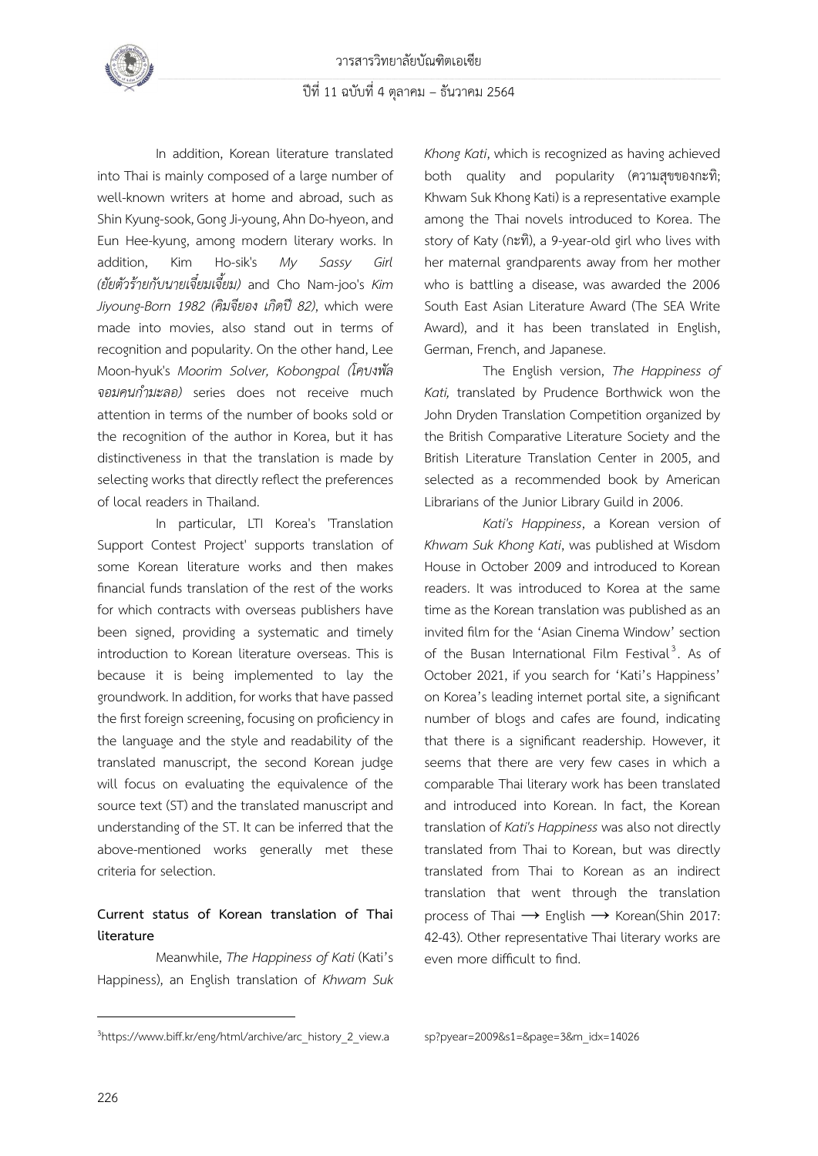In addition, Korean literature translated into Thai is mainly composed of a large number of well-known writers at home and abroad, such as Shin Kyung-sook, Gong Ji-young, Ahn Do-hyeon, and Eun Hee-kyung, among modern literary works. In addition, Kim Ho-sik's *My Sassy Girl (ยัยตัวร้ายกับนายเจี๋ยมเจี้ยม)* and Cho Nam-joo's *Kim Jiyoung-Born 1982 (คิมจียอง เกิดปี82)*, which were made into movies, also stand out in terms of recognition and popularity. On the other hand, Lee Moon-hyuk's *Moorim Solver, Kobongpal (โคบงพัล จอมคนกำมะลอ)* series does not receive much attention in terms of the number of books sold or the recognition of the author in Korea, but it has distinctiveness in that the translation is made by selecting works that directly reflect the preferences of local readers in Thailand.

In particular, LTI Korea's 'Translation Support Contest Project' supports translation of some Korean literature works and then makes financial funds translation of the rest of the works for which contracts with overseas publishers have been signed, providing a systematic and timely introduction to Korean literature overseas. This is because it is being implemented to lay the groundwork. In addition, for works that have passed the first foreign screening, focusing on proficiency in the language and the style and readability of the translated manuscript, the second Korean judge will focus on evaluating the equivalence of the source text (ST) and the translated manuscript and understanding of the ST. It can be inferred that the above-mentioned works generally met these criteria for selection.

## **Current status of Korean translation of Thai literature**

Meanwhile, *The Happiness of Kati* (Kati's Happiness), an English translation of *Khwam Suk* 

*Khong Kati*, which is recognized as having achieved both quality and popularity (ความสุขของกะทิ; Khwam Suk Khong Kati) is a representative example among the Thai novels introduced to Korea. The story of Katy (กะทิ), a 9-year-old girl who lives with her maternal grandparents away from her mother who is battling a disease, was awarded the 2006 South East Asian Literature Award (The SEA Write Award), and it has been translated in English, German, French, and Japanese.

The English version, *The Happiness of Kati,* translated by Prudence Borthwick won the John Dryden Translation Competition organized by the British Comparative Literature Society and the British Literature Translation Center in 2005, and selected as a recommended book by American Librarians of the Junior Library Guild in 2006.

*Kati's Happiness*, a Korean version of *Khwam Suk Khong Kati*, was published at Wisdom House in October 2009 and introduced to Korean readers. It was introduced to Korea at the same time as the Korean translation was published as an invited film for the 'Asian Cinema Window' section of the Busan International Film Festival<sup>3</sup>. As of October 2021, if you search for 'Kati's Happiness' on Korea's leading internet portal site, a significant number of blogs and cafes are found, indicating that there is a significant readership. However, it seems that there are very few cases in which a comparable Thai literary work has been translated and introduced into Korean. In fact, the Korean translation of *Kati's Happiness* was also not directly translated from Thai to Korean, but was directly translated from Thai to Korean as an indirect translation that went through the translation process of Thai → English → Korean(Shin 2017: 42-43). Other representative Thai literary works are even more difficult to find.

<sup>&</sup>lt;sup>3</sup>https://www.biff.kr/eng/html/archive/arc\_history\_2\_view.a

sp?pyear=2009&s1=&page=3&m\_idx=14026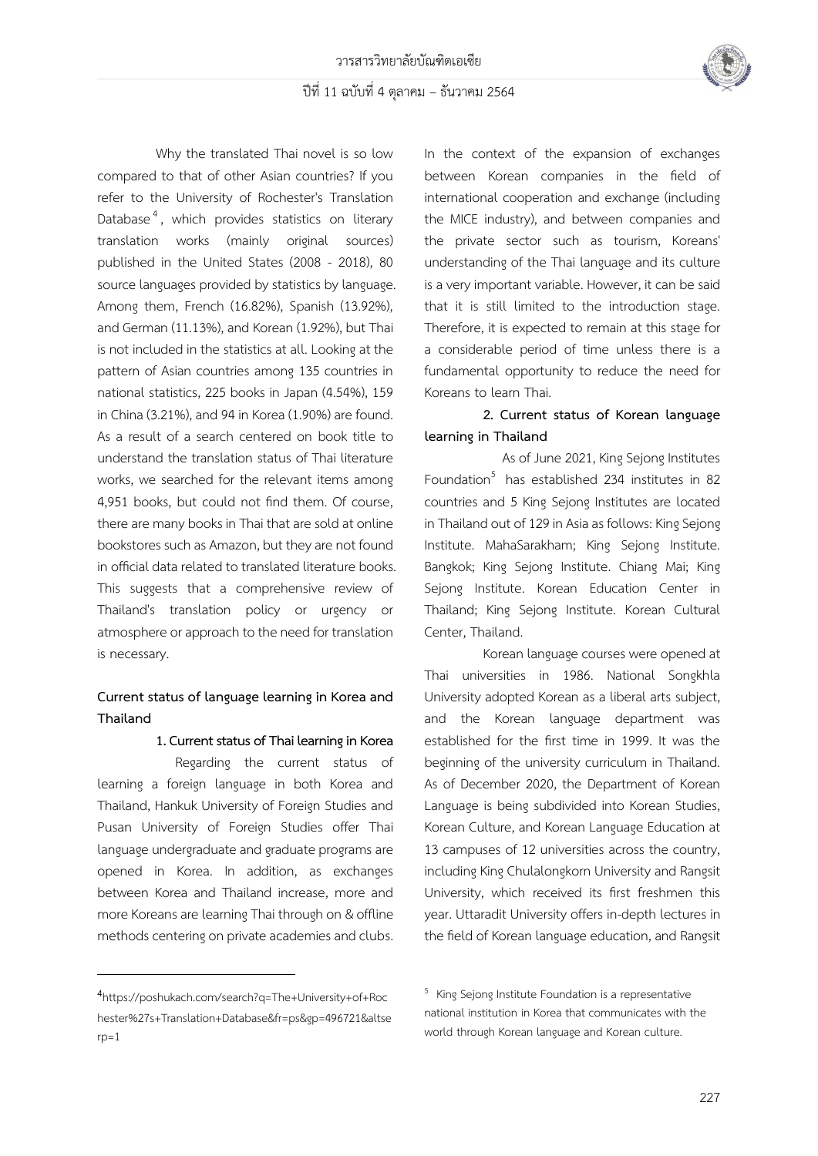

Why the translated Thai novel is so low compared to that of other Asian countries? If you refer to the University of Rochester's Translation Database<sup>4</sup>, which provides statistics on literary translation works (mainly original sources) published in the United States (2008 - 2018), 80 source languages provided by statistics by language. Among them, French (16.82%), Spanish (13.92%), and German (11.13%), and Korean (1.92%), but Thai is not included in the statistics at all. Looking at the pattern of Asian countries among 135 countries in national statistics, 225 books in Japan (4.54%), 159 in China (3.21%), and 94 in Korea (1.90%) are found. As a result of a search centered on book title to understand the translation status of Thai literature works, we searched for the relevant items among 4,951 books, but could not find them. Of course, there are many books in Thai that are sold at online bookstores such as Amazon, but they are not found in official data related to translated literature books. This suggests that a comprehensive review of Thailand's translation policy or urgency or atmosphere or approach to the need for translation is necessary.

## **Current status of language learning in Korea and Thailand**

**1. Current status of Thai learning in Korea**

Regarding the current status of learning a foreign language in both Korea and Thailand, Hankuk University of Foreign Studies and Pusan University of Foreign Studies offer Thai language undergraduate and graduate programs are opened in Korea. In addition, as exchanges between Korea and Thailand increase, more and more Koreans are learning Thai through on & offline methods centering on private academies and clubs. In the context of the expansion of exchanges between Korean companies in the field of international cooperation and exchange (including the MICE industry), and between companies and the private sector such as tourism, Koreans' understanding of the Thai language and its culture is a very important variable. However, it can be said that it is still limited to the introduction stage. Therefore, it is expected to remain at this stage for a considerable period of time unless there is a fundamental opportunity to reduce the need for Koreans to learn Thai.

## **2. Current status of Korean language learning in Thailand**

As of June 2021, King Sejong Institutes Foundation<sup>5</sup> has established 234 institutes in 82 countries and 5 King Sejong Institutes are located in Thailand out of 129 in Asia as follows: King Sejong Institute. MahaSarakham; King Sejong Institute. Bangkok; King Sejong Institute. Chiang Mai; King Sejong Institute. Korean Education Center in Thailand; King Sejong Institute. Korean Cultural Center, Thailand.

Korean language courses were opened at Thai universities in 1986. National Songkhla University adopted Korean as a liberal arts subject, and the Korean language department was established for the first time in 1999. It was the beginning of the university curriculum in Thailand. As of December 2020, the Department of Korean Language is being subdivided into Korean Studies, Korean Culture, and Korean Language Education at 13 campuses of 12 universities across the country, including King Chulalongkorn University and Rangsit University, which received its first freshmen this year. Uttaradit University offers in-depth lectures in the field of Korean language education, and Rangsit

<sup>4</sup>https://poshukach.com/search?q=The+University+of+Roc hester%27s+Translation+Database&fr=ps&gp=496721&altse  $rp=1$ 

<sup>&</sup>lt;sup>5</sup> King Sejong Institute Foundation is a representative national institution in Korea that communicates with the world through Korean language and Korean culture.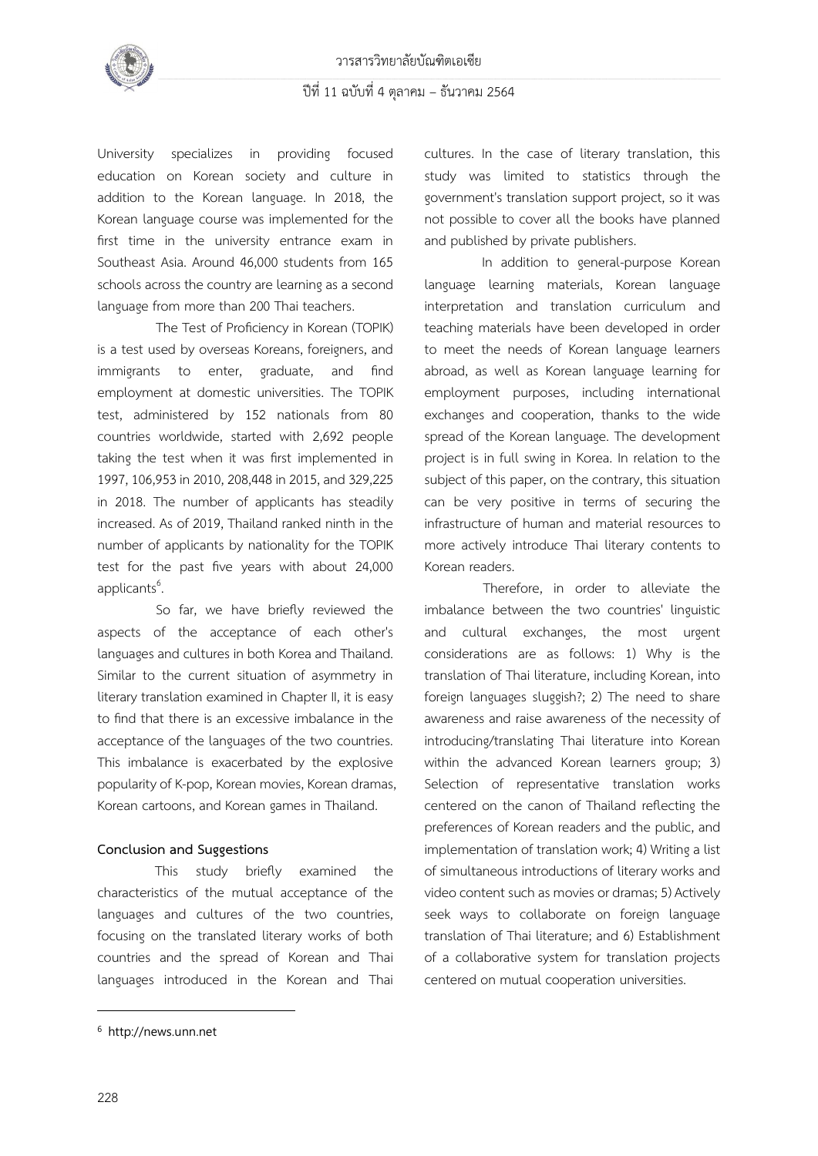

University specializes in providing focused education on Korean society and culture in addition to the Korean language. In 2018, the Korean language course was implemented for the first time in the university entrance exam in Southeast Asia. Around 46,000 students from 165 schools across the country are learning as a second language from more than 200 Thai teachers.

The Test of Proficiency in Korean (TOPIK) is a test used by overseas Koreans, foreigners, and immigrants to enter, graduate, and find employment at domestic universities. The TOPIK test, administered by 152 nationals from 80 countries worldwide, started with 2,692 people taking the test when it was first implemented in 1997, 106,953 in 2010, 208,448 in 2015, and 329,225 in 2018. The number of applicants has steadily increased. As of 2019, Thailand ranked ninth in the number of applicants by nationality for the TOPIK test for the past five years with about 24,000 applicants<sup>6</sup>. .

So far, we have briefly reviewed the aspects of the acceptance of each other's languages and cultures in both Korea and Thailand. Similar to the current situation of asymmetry in literary translation examined in Chapter II, it is easy to find that there is an excessive imbalance in the acceptance of the languages of the two countries. This imbalance is exacerbated by the explosive popularity of K-pop, Korean movies, Korean dramas, Korean cartoons, and Korean games in Thailand.

#### **Conclusion and Suggestions**

This study briefly examined the characteristics of the mutual acceptance of the languages and cultures of the two countries, focusing on the translated literary works of both countries and the spread of Korean and Thai languages introduced in the Korean and Thai cultures. In the case of literary translation, this study was limited to statistics through the government's translation support project, so it was not possible to cover all the books have planned and published by private publishers.

In addition to general-purpose Korean language learning materials, Korean language interpretation and translation curriculum and teaching materials have been developed in order to meet the needs of Korean language learners abroad, as well as Korean language learning for employment purposes, including international exchanges and cooperation, thanks to the wide spread of the Korean language. The development project is in full swing in Korea. In relation to the subject of this paper, on the contrary, this situation can be very positive in terms of securing the infrastructure of human and material resources to more actively introduce Thai literary contents to Korean readers.

 Therefore, in order to alleviate the imbalance between the two countries' linguistic and cultural exchanges, the most urgent considerations are as follows: 1) Why is the translation of Thai literature, including Korean, into foreign languages sluggish?; 2) The need to share awareness and raise awareness of the necessity of introducing/translating Thai literature into Korean within the advanced Korean learners group; 3) Selection of representative translation works centered on the canon of Thailand reflecting the preferences of Korean readers and the public, and implementation of translation work; 4) Writing a list of simultaneous introductions of literary works and video content such as movies or dramas; 5) Actively seek ways to collaborate on foreign language translation of Thai literature; and 6) Establishment of a collaborative system for translation projects centered on mutual cooperation universities.

<sup>6</sup> http://news.unn.net